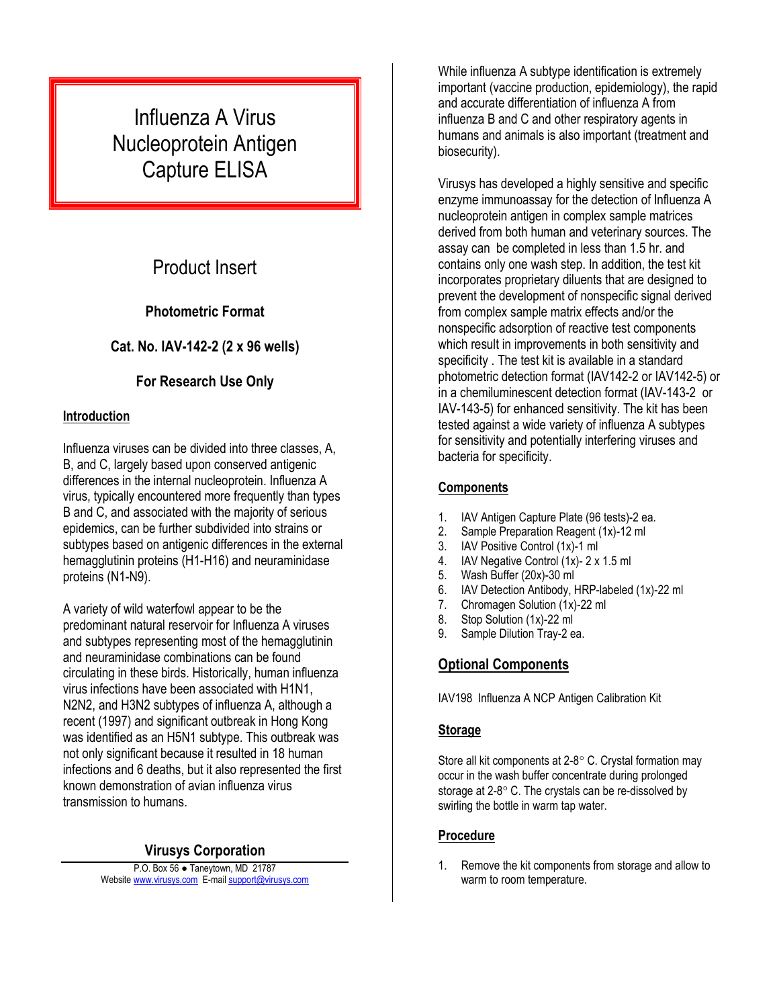# Influenza A Virus Nucleoprotein Antigen Capture ELISA

# Product Insert

### **Photometric Format**

### **Cat. No. IAV-142-2 (2 x 96 wells)**

### **For Research Use Only**

#### **Introduction**

Influenza viruses can be divided into three classes, A, B, and C, largely based upon conserved antigenic differences in the internal nucleoprotein. Influenza A virus, typically encountered more frequently than types B and C, and associated with the majority of serious epidemics, can be further subdivided into strains or subtypes based on antigenic differences in the external hemagglutinin proteins (H1-H16) and neuraminidase proteins (N1-N9).

A variety of wild waterfowl appear to be the predominant natural reservoir for Influenza A viruses and subtypes representing most of the hemagglutinin and neuraminidase combinations can be found circulating in these birds. Historically, human influenza virus infections have been associated with H1N1, N2N2, and H3N2 subtypes of influenza A, although a recent (1997) and significant outbreak in Hong Kong was identified as an H5N1 subtype. This outbreak was not only significant because it resulted in 18 human infections and 6 deaths, but it also represented the first known demonstration of avian influenza virus transmission to humans.

#### **Virusys Corporation**

P.O. Box 56 ● Taneytown, MD 21787 Website [www.virusys.com](http://www.virusys.com/) E-mail [support@virusys.com](mailto:support@virusys.com)

While influenza A subtype identification is extremely important (vaccine production, epidemiology), the rapid and accurate differentiation of influenza A from influenza B and C and other respiratory agents in humans and animals is also important (treatment and biosecurity).

Virusys has developed a highly sensitive and specific enzyme immunoassay for the detection of Influenza A nucleoprotein antigen in complex sample matrices derived from both human and veterinary sources. The assay can be completed in less than 1.5 hr. and contains only one wash step. In addition, the test kit incorporates proprietary diluents that are designed to prevent the development of nonspecific signal derived from complex sample matrix effects and/or the nonspecific adsorption of reactive test components which result in improvements in both sensitivity and specificity . The test kit is available in a standard photometric detection format (IAV142-2 or IAV142-5) or in a chemiluminescent detection format (IAV-143-2 or IAV-143-5) for enhanced sensitivity. The kit has been tested against a wide variety of influenza A subtypes for sensitivity and potentially interfering viruses and bacteria for specificity.

#### **Components**

- 1. IAV Antigen Capture Plate (96 tests)-2 ea.
- 2. Sample Preparation Reagent (1x)-12 ml
- 3. IAV Positive Control (1x)-1 ml
- 4. IAV Negative Control (1x)- 2 x 1.5 ml
- 5. Wash Buffer (20x)-30 ml
- 6. IAV Detection Antibody, HRP-labeled (1x)-22 ml
- 7. Chromagen Solution (1x)-22 ml
- 8. Stop Solution (1x)-22 ml
- 9. Sample Dilution Tray-2 ea.

## **Optional Components**

IAV198 Influenza A NCP Antigen Calibration Kit

#### **Storage**

Store all kit components at  $2-8^\circ$  C. Crystal formation may occur in the wash buffer concentrate during prolonged storage at  $2-8$   $\degree$  C. The crystals can be re-dissolved by swirling the bottle in warm tap water.

#### **Procedure**

1. Remove the kit components from storage and allow to warm to room temperature.